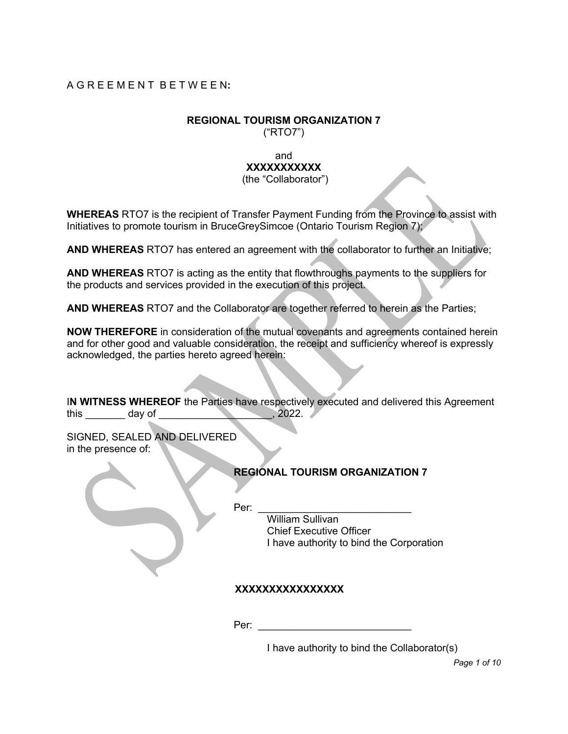## A G R E E M E N T B E T W E E N**:**

# **REGIONAL TOURISM ORGANIZATION 7**

("RTO7")

#### and **XXXXXXXXXXX** (the "Collaborator")

**WHEREAS** RTO7 is the recipient of Transfer Payment Funding from the Province to assist with Initiatives to promote tourism in BruceGreySimcoe (Ontario Tourism Region 7);

**AND WHEREAS** RTO7 has entered an agreement with the collaborator to further an Initiative;

**AND WHEREAS** RTO7 is acting as the entity that flowthroughs payments to the suppliers for the products and services provided in the execution of this project.

**AND WHEREAS** RTO7 and the Collaborator are together referred to herein as the Parties;

**NOW THEREFORE** in consideration of the mutual covenants and agreements contained herein and for other good and valuable consideration, the receipt and sufficiency whereof is expressly acknowledged, the parties hereto agreed herein:

I**N WITNESS WHEREOF** the Parties have respectively executed and delivered this Agreement this day of this day of the state of the state of the state of the state of the state of the state of the state of the state of the state of the state of the state of the state of the state of the state of the state of the

SIGNED, SEALED AND DELIVERED in the presence of:

|  | <b>REGIONAL TOURISM ORGANIZATION 7</b> |
|--|----------------------------------------|

Per: \_\_\_\_\_\_\_\_\_\_\_\_\_\_\_\_\_\_\_\_\_\_\_\_\_\_\_

William Sullivan Chief Executive Officer I have authority to bind the Corporation

# **XXXXXXXXXXXXXXXX**

Per: \_\_\_\_\_\_\_\_\_\_\_\_\_\_\_\_\_\_\_\_\_\_\_\_\_\_\_

I have authority to bind the Collaborator(s)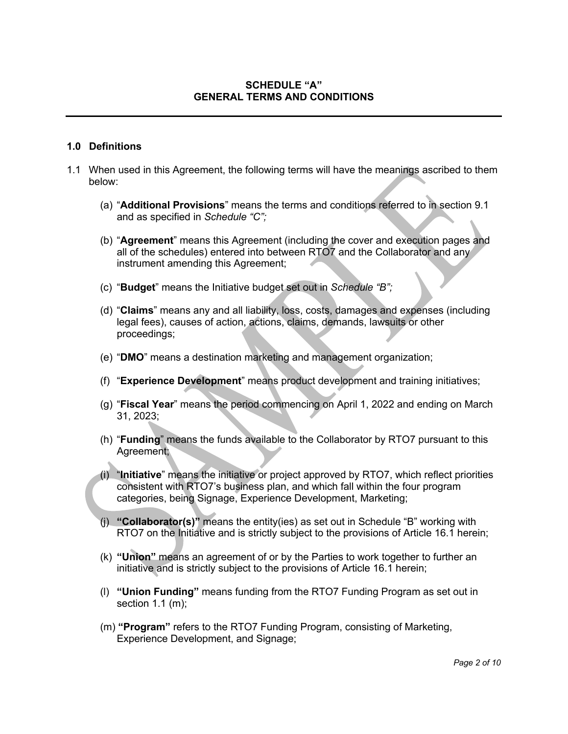## **SCHEDULE "A" GENERAL TERMS AND CONDITIONS**

#### **1.0 Definitions**

- 1.1 When used in this Agreement, the following terms will have the meanings ascribed to them below:
	- (a) "**Additional Provisions**" means the terms and conditions referred to in section 9.1 and as specified in *Schedule "C";*
	- (b) "**Agreement**" means this Agreement (including the cover and execution pages and all of the schedules) entered into between RTO7 and the Collaborator and any instrument amending this Agreement;
	- (c) "**Budget**" means the Initiative budget set out in *Schedule "B";*
	- (d) "**Claims**" means any and all liability, loss, costs, damages and expenses (including legal fees), causes of action, actions, claims, demands, lawsuits or other proceedings;
	- (e) "**DMO**" means a destination marketing and management organization;
	- (f) "**Experience Development**" means product development and training initiatives;
	- (g) "**Fiscal Year**" means the period commencing on April 1, 2022 and ending on March 31, 2023;
	- (h) "**Funding**" means the funds available to the Collaborator by RTO7 pursuant to this Agreement;
	- (i) "**Initiative**" means the initiative or project approved by RTO7, which reflect priorities consistent with RTO7's business plan, and which fall within the four program categories, being Signage, Experience Development, Marketing;
	- (j) **"Collaborator(s)"** means the entity(ies) as set out in Schedule "B" working with RTO7 on the Initiative and is strictly subject to the provisions of Article 16.1 herein;
	- (k) **"Union"** means an agreement of or by the Parties to work together to further an initiative and is strictly subject to the provisions of Article 16.1 herein;
	- (l) **"Union Funding"** means funding from the RTO7 Funding Program as set out in section 1.1 (m);
	- (m) **"Program"** refers to the RTO7 Funding Program, consisting of Marketing, Experience Development, and Signage;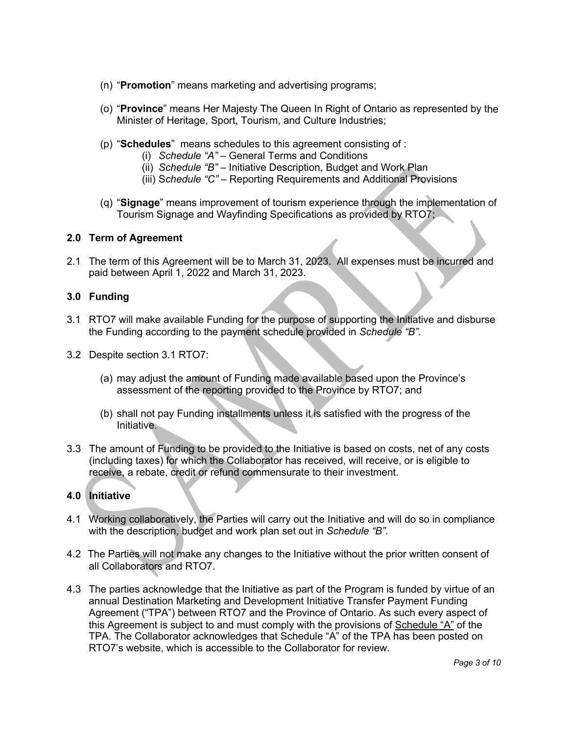- (n) "**Promotion**" means marketing and advertising programs;
- (o) "**Province**" means Her Majesty The Queen In Right of Ontario as represented by the Minister of Heritage, Sport, Tourism, and Culture Industries;
- (p) "**Schedules**" means schedules to this agreement consisting of :
	- (i) *Schedule "A"* General Terms and Conditions
	- (ii) *Schedule "B"* Initiative Description, Budget and Work Plan
	- (iii) S*chedule "C"* Reporting Requirements and Additional Provisions
- (q) "**Signage**" means improvement of tourism experience through the implementation of Tourism Signage and Wayfinding Specifications as provided by RTO7;

#### **2.0 Term of Agreement**

2.1 The term of this Agreement will be to March 31, 2023. All expenses must be incurred and paid between April 1, 2022 and March 31, 2023.

#### **3.0 Funding**

- 3.1 RTO7 will make available Funding for the purpose of supporting the Initiative and disburse the Funding according to the payment schedule provided in *Schedule "B".*
- 3.2 Despite section 3.1 RTO7:
	- (a) may adjust the amount of Funding made available based upon the Province's assessment of the reporting provided to the Province by RTO7; and
	- (b) shall not pay Funding installments unless it is satisfied with the progress of the **Initiative.**
- 3.3 The amount of Funding to be provided to the Initiative is based on costs, net of any costs (including taxes) for which the Collaborator has received, will receive, or is eligible to receive, a rebate, credit or refund commensurate to their investment.

## **4.0 Initiative**

- 4.1 Working collaboratively, the Parties will carry out the Initiative and will do so in compliance with the description, budget and work plan set out in *Schedule "B"*.
- 4.2 The Parties will not make any changes to the Initiative without the prior written consent of all Collaborators and RTO7.
- 4.3 The parties acknowledge that the Initiative as part of the Program is funded by virtue of an annual Destination Marketing and Development Initiative Transfer Payment Funding Agreement ("TPA") between RTO7 and the Province of Ontario. As such every aspect of this Agreement is subject to and must comply with the provisions of Schedule "A" of the TPA. The Collaborator acknowledges that Schedule "A" of the TPA has been posted on RTO7's website, which is accessible to the Collaborator for review.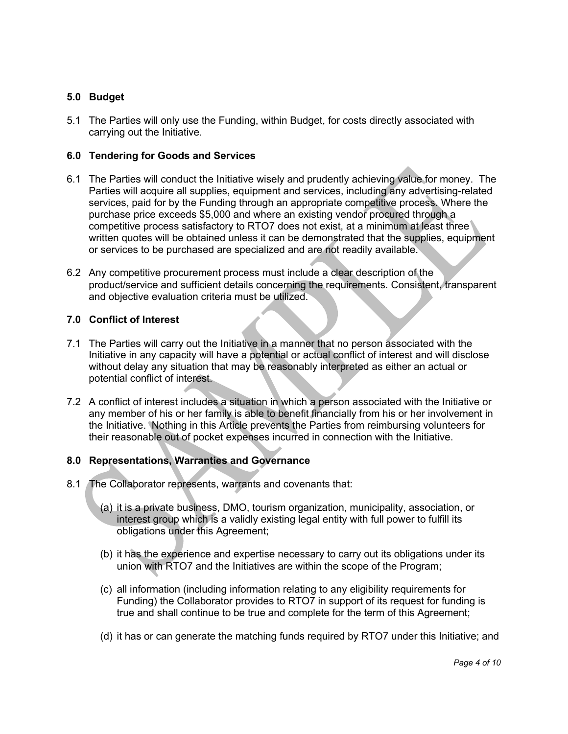## **5.0 Budget**

5.1 The Parties will only use the Funding, within Budget, for costs directly associated with carrying out the Initiative.

## **6.0 Tendering for Goods and Services**

- 6.1 The Parties will conduct the Initiative wisely and prudently achieving value for money. The Parties will acquire all supplies, equipment and services, including any advertising-related services, paid for by the Funding through an appropriate competitive process. Where the purchase price exceeds \$5,000 and where an existing vendor procured through a competitive process satisfactory to RTO7 does not exist, at a minimum at least three written quotes will be obtained unless it can be demonstrated that the supplies, equipment or services to be purchased are specialized and are not readily available.
- 6.2 Any competitive procurement process must include a clear description of the product/service and sufficient details concerning the requirements. Consistent, transparent and objective evaluation criteria must be utilized.

## **7.0 Conflict of Interest**

- 7.1 The Parties will carry out the Initiative in a manner that no person associated with the Initiative in any capacity will have a potential or actual conflict of interest and will disclose without delay any situation that may be reasonably interpreted as either an actual or potential conflict of interest.
- 7.2 A conflict of interest includes a situation in which a person associated with the Initiative or any member of his or her family is able to benefit financially from his or her involvement in the Initiative. Nothing in this Article prevents the Parties from reimbursing volunteers for their reasonable out of pocket expenses incurred in connection with the Initiative.

## **8.0 Representations, Warranties and Governance**

- 8.1 The Collaborator represents, warrants and covenants that:
	- (a) it is a private business, DMO, tourism organization, municipality, association, or interest group which is a validly existing legal entity with full power to fulfill its obligations under this Agreement;
	- (b) it has the experience and expertise necessary to carry out its obligations under its union with RTO7 and the Initiatives are within the scope of the Program;
	- (c) all information (including information relating to any eligibility requirements for Funding) the Collaborator provides to RTO7 in support of its request for funding is true and shall continue to be true and complete for the term of this Agreement;
	- (d) it has or can generate the matching funds required by RTO7 under this Initiative; and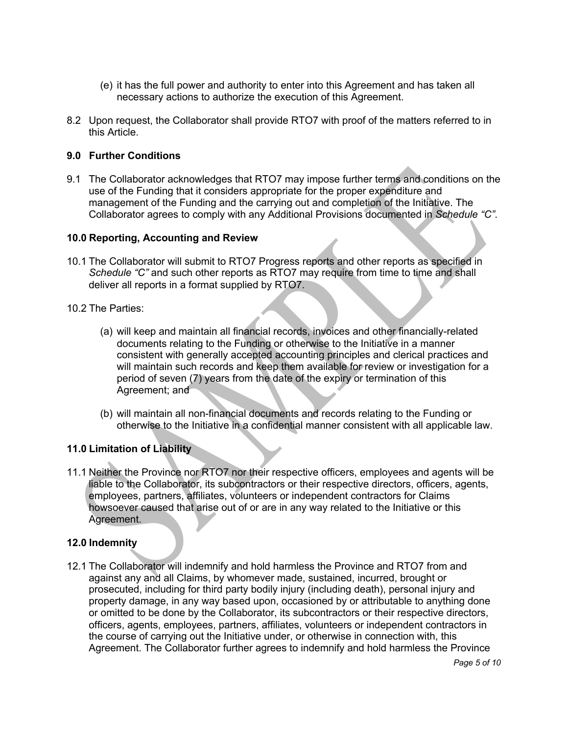- (e) it has the full power and authority to enter into this Agreement and has taken all necessary actions to authorize the execution of this Agreement.
- 8.2 Upon request, the Collaborator shall provide RTO7 with proof of the matters referred to in this Article.

## **9.0 Further Conditions**

9.1 The Collaborator acknowledges that RTO7 may impose further terms and conditions on the use of the Funding that it considers appropriate for the proper expenditure and management of the Funding and the carrying out and completion of the Initiative. The Collaborator agrees to comply with any Additional Provisions documented in *Schedule "C"*.

#### **10.0 Reporting, Accounting and Review**

- 10.1 The Collaborator will submit to RTO7 Progress reports and other reports as specified in *Schedule "C"* and such other reports as RTO7 may require from time to time and shall deliver all reports in a format supplied by RTO7.
- 10.2 The Parties:
	- (a) will keep and maintain all financial records, invoices and other financially-related documents relating to the Funding or otherwise to the Initiative in a manner consistent with generally accepted accounting principles and clerical practices and will maintain such records and keep them available for review or investigation for a period of seven (7) years from the date of the expiry or termination of this Agreement; and
	- (b) will maintain all non-financial documents and records relating to the Funding or otherwise to the Initiative in a confidential manner consistent with all applicable law.

## **11.0 Limitation of Liability**

11.1 Neither the Province nor RTO7 nor their respective officers, employees and agents will be liable to the Collaborator, its subcontractors or their respective directors, officers, agents, employees, partners, affiliates, volunteers or independent contractors for Claims howsoever caused that arise out of or are in any way related to the Initiative or this Agreement.

## **12.0 Indemnity**

12.1 The Collaborator will indemnify and hold harmless the Province and RTO7 from and against any and all Claims, by whomever made, sustained, incurred, brought or prosecuted, including for third party bodily injury (including death), personal injury and property damage, in any way based upon, occasioned by or attributable to anything done or omitted to be done by the Collaborator, its subcontractors or their respective directors, officers, agents, employees, partners, affiliates, volunteers or independent contractors in the course of carrying out the Initiative under, or otherwise in connection with, this Agreement. The Collaborator further agrees to indemnify and hold harmless the Province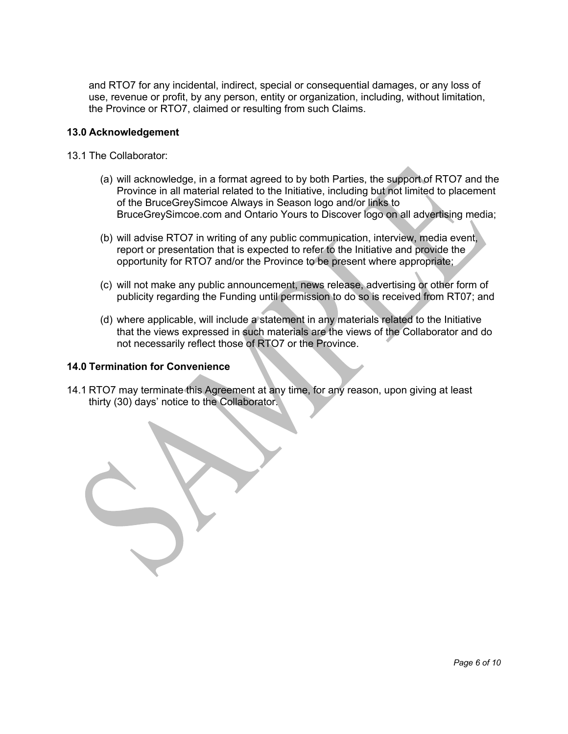and RTO7 for any incidental, indirect, special or consequential damages, or any loss of use, revenue or profit, by any person, entity or organization, including, without limitation, the Province or RTO7, claimed or resulting from such Claims.

#### **13.0 Acknowledgement**

- 13.1 The Collaborator:
	- (a) will acknowledge, in a format agreed to by both Parties, the support of RTO7 and the Province in all material related to the Initiative, including but not limited to placement of the BruceGreySimcoe Always in Season logo and/or links to BruceGreySimcoe.com and Ontario Yours to Discover logo on all advertising media;
	- (b) will advise RTO7 in writing of any public communication, interview, media event, report or presentation that is expected to refer to the Initiative and provide the opportunity for RTO7 and/or the Province to be present where appropriate;
	- (c) will not make any public announcement, news release, advertising or other form of publicity regarding the Funding until permission to do so is received from RT07; and
	- (d) where applicable, will include a statement in any materials related to the Initiative that the views expressed in such materials are the views of the Collaborator and do not necessarily reflect those of RTO7 or the Province.

#### **14.0 Termination for Convenience**

14.1 RTO7 may terminate this Agreement at any time, for any reason, upon giving at least thirty (30) days' notice to the Collaborator.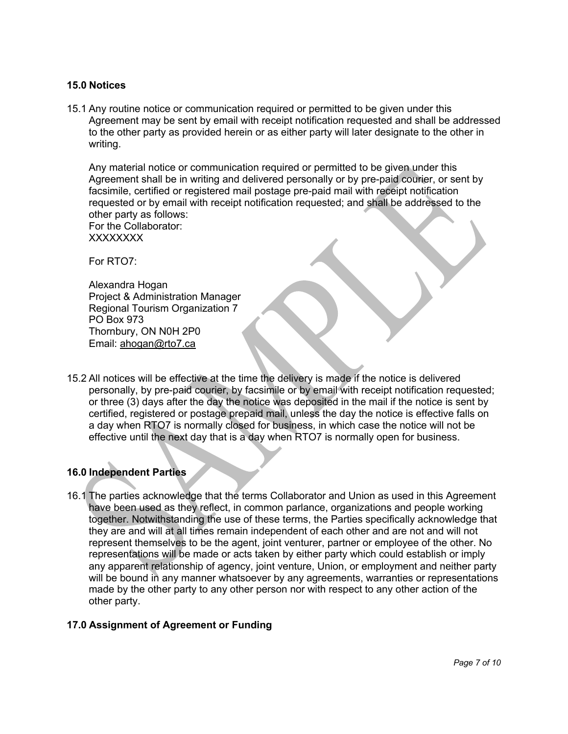#### **15.0 Notices**

15.1 Any routine notice or communication required or permitted to be given under this Agreement may be sent by email with receipt notification requested and shall be addressed to the other party as provided herein or as either party will later designate to the other in writing.

Any material notice or communication required or permitted to be given under this Agreement shall be in writing and delivered personally or by pre-paid courier, or sent by facsimile, certified or registered mail postage pre-paid mail with receipt notification requested or by email with receipt notification requested; and shall be addressed to the other party as follows:

For the Collaborator: XXXXXXXX

For RTO7:

Alexandra Hogan Project & Administration Manager Regional Tourism Organization 7 PO Box 973 Thornbury, ON N0H 2P0 Email: ahogan@rto7.ca

15.2 All notices will be effective at the time the delivery is made if the notice is delivered personally, by pre-paid courier, by facsimile or by email with receipt notification requested; or three (3) days after the day the notice was deposited in the mail if the notice is sent by certified, registered or postage prepaid mail, unless the day the notice is effective falls on a day when RTO7 is normally closed for business, in which case the notice will not be effective until the next day that is a day when RTO7 is normally open for business.

# **16.0 Independent Parties**

16.1 The parties acknowledge that the terms Collaborator and Union as used in this Agreement have been used as they reflect, in common parlance, organizations and people working together. Notwithstanding the use of these terms, the Parties specifically acknowledge that they are and will at all times remain independent of each other and are not and will not represent themselves to be the agent, joint venturer, partner or employee of the other. No representations will be made or acts taken by either party which could establish or imply any apparent relationship of agency, joint venture, Union, or employment and neither party will be bound in any manner whatsoever by any agreements, warranties or representations made by the other party to any other person nor with respect to any other action of the other party.

## **17.0 Assignment of Agreement or Funding**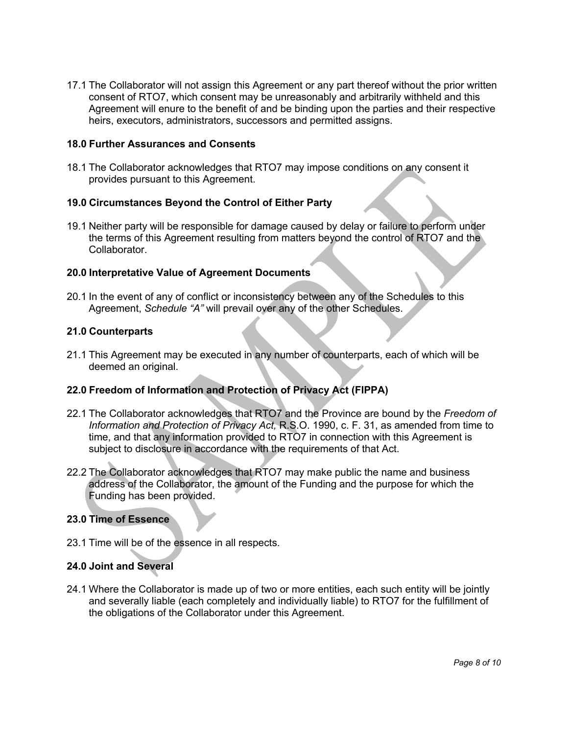17.1 The Collaborator will not assign this Agreement or any part thereof without the prior written consent of RTO7, which consent may be unreasonably and arbitrarily withheld and this Agreement will enure to the benefit of and be binding upon the parties and their respective heirs, executors, administrators, successors and permitted assigns.

## **18.0 Further Assurances and Consents**

18.1 The Collaborator acknowledges that RTO7 may impose conditions on any consent it provides pursuant to this Agreement.

#### **19.0 Circumstances Beyond the Control of Either Party**

19.1 Neither party will be responsible for damage caused by delay or failure to perform under the terms of this Agreement resulting from matters beyond the control of RTO7 and the Collaborator.

#### **20.0 Interpretative Value of Agreement Documents**

20.1 In the event of any of conflict or inconsistency between any of the Schedules to this Agreement, *Schedule "A"* will prevail over any of the other Schedules.

#### **21.0 Counterparts**

21.1 This Agreement may be executed in any number of counterparts, each of which will be deemed an original.

## **22.0 Freedom of Information and Protection of Privacy Act (FIPPA)**

- 22.1 The Collaborator acknowledges that RTO7 and the Province are bound by the *Freedom of Information and Protection of Privacy Act,* R.S.O. 1990, c. F. 31, as amended from time to time, and that any information provided to RTO7 in connection with this Agreement is subject to disclosure in accordance with the requirements of that Act.
- 22.2 The Collaborator acknowledges that RTO7 may make public the name and business address of the Collaborator, the amount of the Funding and the purpose for which the Funding has been provided.

#### **23.0 Time of Essence**

23.1 Time will be of the essence in all respects.

#### **24.0 Joint and Several**

24.1 Where the Collaborator is made up of two or more entities, each such entity will be jointly and severally liable (each completely and individually liable) to RTO7 for the fulfillment of the obligations of the Collaborator under this Agreement.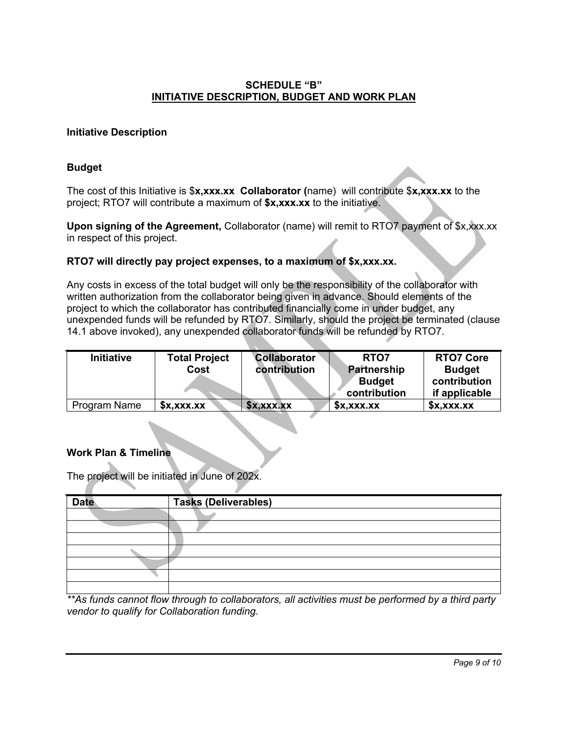## **SCHEDULE "B" INITIATIVE DESCRIPTION, BUDGET AND WORK PLAN**

## **Initiative Description**

## **Budget**

The cost of this Initiative is \$**x,xxx.xx Collaborator (**name) will contribute \$**x,xxx.xx** to the project; RTO7 will contribute a maximum of **\$x,xxx.xx** to the initiative.

**Upon signing of the Agreement, Collaborator (name) will remit to RTO7 payment of \$x,xxx.xx** in respect of this project.

#### **RTO7 will directly pay project expenses, to a maximum of \$x,xxx.xx.**

Any costs in excess of the total budget will only be the responsibility of the collaborator with written authorization from the collaborator being given in advance. Should elements of the project to which the collaborator has contributed financially come in under budget, any unexpended funds will be refunded by RTO7. Similarly, should the project be terminated (clause 14.1 above invoked), any unexpended collaborator funds will be refunded by RTO7.

| <b>Initiative</b> | <b>Total Project</b><br>Cost | <b>Collaborator</b><br>contribution | RTO7<br><b>Partnership</b><br><b>Budget</b><br>contribution | <b>RTO7 Core</b><br><b>Budget</b><br>contribution<br>if applicable |
|-------------------|------------------------------|-------------------------------------|-------------------------------------------------------------|--------------------------------------------------------------------|
| Program Name      | x, xxx.x                     | x, x, x, x                          | x, x, x, x                                                  | x, xxx.x                                                           |

#### **Work Plan & Timeline**

The project will be initiated in June of 202x.

| <b>Date</b> | <b>Tasks (Deliverables)</b> |
|-------------|-----------------------------|
|             |                             |
|             |                             |
|             |                             |
|             |                             |
|             |                             |
|             |                             |
|             |                             |

*\*\*As funds cannot flow through to collaborators, all activities must be performed by a third party vendor to qualify for Collaboration funding.*